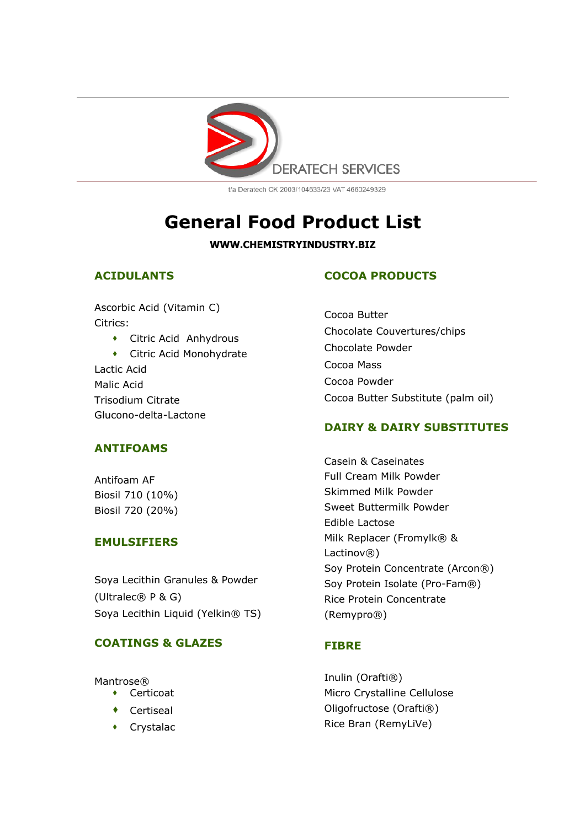

t/a Deratech CK 2003/104633/23 VAT 4660249329

# **General Food Product List**

**WWW.CHEMISTRYINDUSTRY.BIZ**

## **ACIDULANTS**

Ascorbic Acid (Vitamin C) Citrics:

 Citric Acid Anhydrous Citric Acid Monohydrate Lactic Acid Malic Acid Trisodium Citrate Glucono-delta-Lactone

## **ANTIFOAMS**

Antifoam AF Biosil 710 (10%) Biosil 720 (20%)

## **EMULSIFIERS**

Soya Lecithin Granules & Powder (Ultralec® P & G) Soya Lecithin Liquid (Yelkin® TS)

## **COATINGS & GLAZES**

Mantrose®

- Certicoat
- Certiseal
- Crystalac

# **COCOA PRODUCTS**

Cocoa Butter Chocolate Couvertures/chips Chocolate Powder Cocoa Mass Cocoa Powder Cocoa Butter Substitute (palm oil)

## **DAIRY & DAIRY SUBSTITUTES**

Casein & Caseinates Full Cream Milk Powder Skimmed Milk Powder Sweet Buttermilk Powder Edible Lactose Milk Replacer (Fromylk® & Lactinov®) Soy Protein Concentrate (Arcon®) Soy Protein Isolate (Pro-Fam®) Rice Protein Concentrate (Remypro®)

## **FIBRE**

Inulin (Orafti®) Micro Crystalline Cellulose Oligofructose (Orafti®) Rice Bran (RemyLiVe)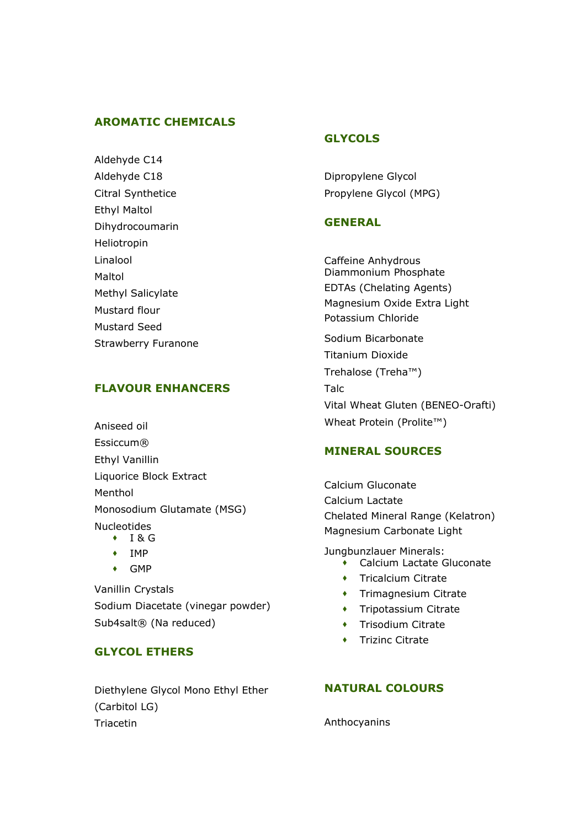#### **AROMATIC CHEMICALS**

Aldehyde C14 Aldehyde C18 Citral Synthetice Ethyl Maltol Dihydrocoumarin Heliotropin Linalool Maltol Methyl Salicylate Mustard flour Mustard Seed Strawberry Furanone

## **FLAVOUR ENHANCERS**

Aniseed oil Essiccum® Ethyl Vanillin Liquorice Block Extract Menthol Monosodium Glutamate (MSG) Nucleotides  $\cdot$  I & G

- 
- $\longleftarrow$  IMP
- GMP

Vanillin Crystals Sodium Diacetate (vinegar powder) Sub4salt® (Na reduced)

## **GLYCOL ETHERS**

Diethylene Glycol Mono Ethyl Ether (Carbitol LG) Triacetin

## **GLYCOLS**

Dipropylene Glycol Propylene Glycol (MPG)

#### **GENERAL**

Caffeine Anhydrous Diammonium Phosphate EDTAs (Chelating Agents) Magnesium Oxide Extra Light Potassium Chloride Sodium Bicarbonate Titanium Dioxide Trehalose (Treha™) Talc Vital Wheat Gluten (BENEO-Orafti) Wheat Protein (Prolite™)

#### **MINERAL SOURCES**

Calcium Gluconate Calcium Lactate Chelated Mineral Range (Kelatron) Magnesium Carbonate Light

Jungbunzlauer Minerals:

- Calcium Lactate Gluconate
- **+** Tricalcium Citrate
- **+** Trimagnesium Citrate
- **\*** Tripotassium Citrate
- **\*** Trisodium Citrate
- $\bullet$  Trizinc Citrate

### **NATURAL COLOURS**

Anthocyanins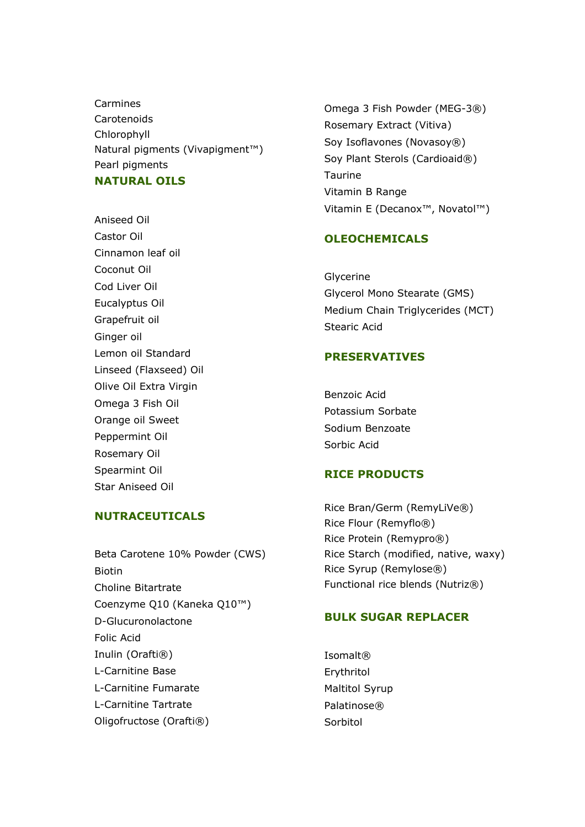Carmines Carotenoids Chlorophyll Natural pigments (Vivapigment™) Pearl pigments **NATURAL OILS**

Aniseed Oil Castor Oil Cinnamon leaf oil Coconut Oil Cod Liver Oil Eucalyptus Oil Grapefruit oil Ginger oil Lemon oil Standard Linseed (Flaxseed) Oil Olive Oil Extra Virgin Omega 3 Fish Oil Orange oil Sweet Peppermint Oil Rosemary Oil Spearmint Oil Star Aniseed Oil

#### **NUTRACEUTICALS**

Beta Carotene 10% Powder (CWS) Biotin Choline Bitartrate Coenzyme Q10 (Kaneka Q10™) D-Glucuronolactone Folic Acid Inulin (Orafti®) L-Carnitine Base L-Carnitine Fumarate L-Carnitine Tartrate Oligofructose (Orafti®)

Omega 3 Fish Powder (MEG-3®) Rosemary Extract (Vitiva) Soy Isoflavones (Novasoy®) Soy Plant Sterols (Cardioaid®) Taurine Vitamin B Range Vitamin E (Decanox™, Novatol™)

#### **OLEOCHEMICALS**

Glycerine Glycerol Mono Stearate (GMS) Medium Chain Triglycerides (MCT) Stearic Acid

#### **PRESERVATIVES**

Benzoic Acid Potassium Sorbate Sodium Benzoate Sorbic Acid

#### **RICE PRODUCTS**

Rice Bran/Germ (RemyLiVe®) Rice Flour (Remyflo®) Rice Protein (Remypro®) Rice Starch (modified, native, waxy) Rice Syrup (Remylose®) Functional rice blends (Nutriz®)

#### **BULK SUGAR REPLACER**

Isomalt® Erythritol Maltitol Syrup Palatinose® Sorbitol